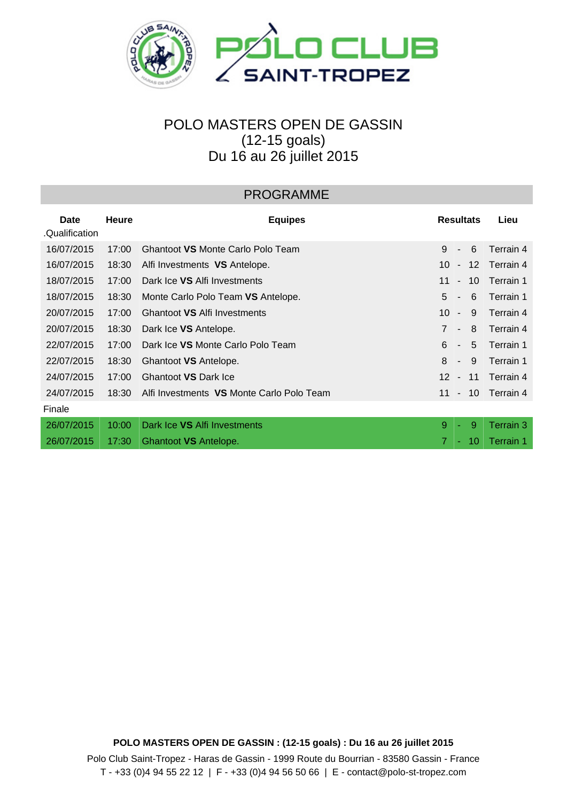

## POLO MASTERS OPEN DE GASSIN (12-15 goals) Du 16 au 26 juillet 2015

## PROGRAMME

| Date<br>.Qualification | <b>Heure</b> | <b>Equipes</b>                            | <b>Resultats</b>                          | Lieu      |
|------------------------|--------------|-------------------------------------------|-------------------------------------------|-----------|
| 16/07/2015             | 17:00        | Ghantoot VS Monte Carlo Polo Team         | 9<br>6<br>$\blacksquare$                  | Terrain 4 |
| 16/07/2015             | 18:30        | Alfi Investments VS Antelope.             | 10<br>$12 \overline{ }$<br>$\blacksquare$ | Terrain 4 |
| 18/07/2015             | 17:00        | Dark Ice VS Alfi Investments              | 11<br>10<br>$\overline{\phantom{a}}$      | Terrain 1 |
| 18/07/2015             | 18:30        | Monte Carlo Polo Team VS Antelope.        | 5<br>6<br>$\overline{\phantom{a}}$        | Terrain 1 |
| 20/07/2015             | 17:00        | Ghantoot VS Alfi Investments              | 10<br>9<br>$\blacksquare$                 | Terrain 4 |
| 20/07/2015             | 18:30        | Dark Ice VS Antelope.                     | $\overline{7}$<br>8<br>$\blacksquare$     | Terrain 4 |
| 22/07/2015             | 17:00        | Dark Ice VS Monte Carlo Polo Team         | 6<br>5<br>$\blacksquare$                  | Terrain 1 |
| 22/07/2015             | 18:30        | Ghantoot VS Antelope.                     | 8<br>9<br>$\overline{\phantom{a}}$        | Terrain 1 |
| 24/07/2015             | 17:00        | Ghantoot VS Dark Ice                      | 12 <sup>2</sup><br>11<br>$\sim$           | Terrain 4 |
| 24/07/2015             | 18:30        | Alfi Investments VS Monte Carlo Polo Team | 11<br>10<br>$\sim$                        | Terrain 4 |
| Finale                 |              |                                           |                                           |           |
| 26/07/2015             | 10:00        | Dark Ice VS Alfi Investments              | 9<br>9<br>÷                               | Terrain 3 |
| 26/07/2015             | 17:30        | Ghantoot VS Antelope.                     | 7<br>10<br>٠                              | Terrain 1 |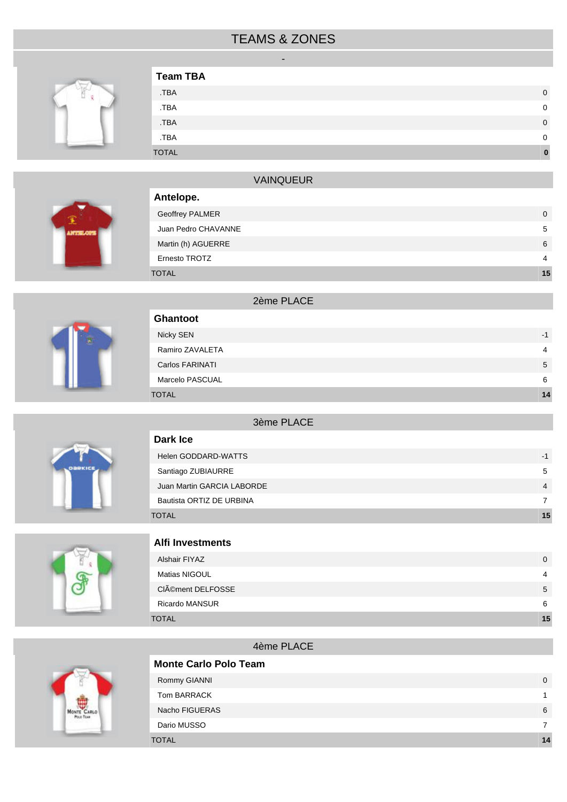## TEAMS & ZONES -



| <b>Team TBA</b> |             |
|-----------------|-------------|
| .TBA            | $\mathbf 0$ |
| .TBA            | 0           |
| .TBA            | $\mathbf 0$ |
| .TBA            | $\Omega$    |
| <b>TOTAL</b>    |             |



| <b>VAINQUEUR</b>       |    |
|------------------------|----|
| Antelope.              |    |
| <b>Geoffrey PALMER</b> | 0  |
| Juan Pedro CHAVANNE    | 5  |
| Martin (h) AGUERRE     | 6  |
| Ernesto TROTZ          | 4  |
| TOTAL                  | 15 |



| <b>DARKICE</b> |  |
|----------------|--|
|                |  |

|                 | 2ème PLACE |                |
|-----------------|------------|----------------|
| Ghantoot        |            |                |
| Nicky SEN       |            | $-1$           |
| Ramiro ZAVALETA |            | $\overline{4}$ |
| Carlos FARINATI |            | 5              |
| Marcelo PASCUAL |            | 6              |
| <b>TOTAL</b>    |            | 14             |
|                 |            |                |
|                 |            |                |



| 3ème PLACE                 |                          |
|----------------------------|--------------------------|
| Dark Ice                   |                          |
| Helen GODDARD-WATTS        | -1                       |
| Santiago ZUBIAURRE         | 5                        |
| Juan Martin GARCIA LABORDE | $\overline{\mathcal{A}}$ |
| Bautista ORTIZ DE URBINA   | 7                        |

TOTAL **15**



#### **Alfi Investments**

| Alshair FIYAZ         | $\mathbf{0}$   |
|-----------------------|----------------|
| Matias NIGOUL         | $\overline{4}$ |
| CIément DELFOSSE      | 5              |
| <b>Ricardo MANSUR</b> | 6              |
| <b>TOTAL</b>          | 15             |

#### 4ème PLACE

| <b>Monte Carlo Polo Team</b> |          |
|------------------------------|----------|
| Rommy GIANNI                 | $\Omega$ |
| Tom BARRACK                  |          |
| Nacho FIGUERAS               | 6        |
| Dario MUSSO                  |          |
| <b>TOTAL</b>                 | 14       |

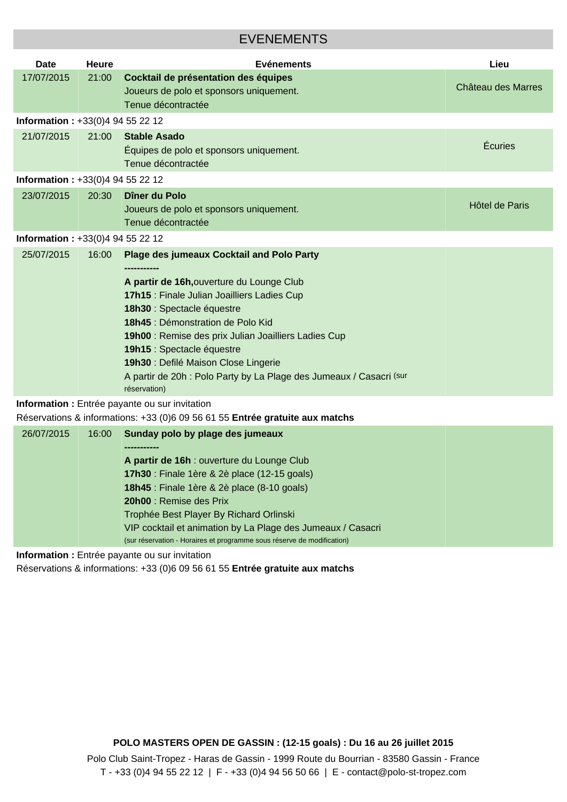### EVENEMENTS

| <b>Date</b>                           | <b>Heure</b>                                   | <b>Evénements</b>                                                                                                                                                                                                                                                                                                                                                                                                                    | Lieu               |  |
|---------------------------------------|------------------------------------------------|--------------------------------------------------------------------------------------------------------------------------------------------------------------------------------------------------------------------------------------------------------------------------------------------------------------------------------------------------------------------------------------------------------------------------------------|--------------------|--|
| 17/07/2015                            | 21:00                                          | Cocktail de présentation des équipes<br>Joueurs de polo et sponsors uniquement.<br>Tenue décontractée                                                                                                                                                                                                                                                                                                                                | Château des Marres |  |
| <b>Information:</b> $+33(0)494552212$ |                                                |                                                                                                                                                                                                                                                                                                                                                                                                                                      |                    |  |
| 21/07/2015                            | 21:00                                          | <b>Stable Asado</b><br>Équipes de polo et sponsors uniquement.<br>Tenue décontractée                                                                                                                                                                                                                                                                                                                                                 | Écuries            |  |
| Information: +33(0)4 94 55 22 12      |                                                |                                                                                                                                                                                                                                                                                                                                                                                                                                      |                    |  |
| 23/07/2015                            | 20:30                                          | Dîner du Polo<br>Joueurs de polo et sponsors uniquement.<br>Tenue décontractée                                                                                                                                                                                                                                                                                                                                                       | Hôtel de Paris     |  |
| <b>Information:</b> $+33(0)494552212$ |                                                |                                                                                                                                                                                                                                                                                                                                                                                                                                      |                    |  |
| 25/07/2015                            | 16:00                                          | <b>Plage des jumeaux Cocktail and Polo Party</b><br>A partir de 16h, ouverture du Lounge Club<br>17h15 : Finale Julian Joailliers Ladies Cup<br>18h30 : Spectacle équestre<br>18h45 : Démonstration de Polo Kid<br>19h00 : Remise des prix Julian Joailliers Ladies Cup<br>19h15 : Spectacle équestre<br>19h30 : Defilé Maison Close Lingerie<br>A partir de 20h : Polo Party by La Plage des Jumeaux / Casacri (sur<br>réservation) |                    |  |
|                                       | Information : Entrée payante ou sur invitation |                                                                                                                                                                                                                                                                                                                                                                                                                                      |                    |  |

Réservations & informations: +33 (0)6 09 56 61 55 **Entrée gratuite aux matchs**

| 26/07/2015 | 16:00 | Sunday polo by plage des jumeaux                                       |
|------------|-------|------------------------------------------------------------------------|
|            |       |                                                                        |
|            |       | A partir de 16h : ouverture du Lounge Club                             |
|            |       | 17h30 : Finale 1ère & 2è place (12-15 goals)                           |
|            |       | <b>18h45</b> : Finale 1ère & 2è place (8-10 goals)                     |
|            |       | <b>20h00</b> : Remise des Prix                                         |
|            |       | Trophée Best Player By Richard Orlinski                                |
|            |       | VIP cocktail et animation by La Plage des Jumeaux / Casacri            |
|            |       | (sur réservation - Horaires et programme sous réserve de modification) |

**Information :** Entrée payante ou sur invitation

Réservations & informations: +33 (0)6 09 56 61 55 **Entrée gratuite aux matchs**

**POLO MASTERS OPEN DE GASSIN : (12-15 goals) : Du 16 au 26 juillet 2015**

Polo Club Saint-Tropez - Haras de Gassin - 1999 Route du Bourrian - 83580 Gassin - France T - +33 (0)4 94 55 22 12 | F - +33 (0)4 94 56 50 66 | E - contact@polo-st-tropez.com